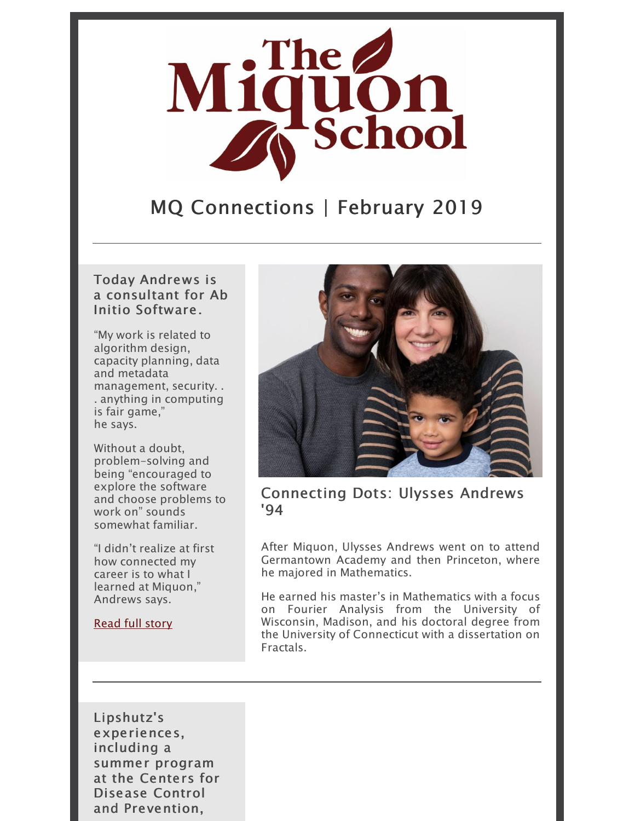

## MQ Connections | February 2019

#### Today Andrews is a consultant for Ab Initio Software.

"My work is related to algorithm design, capacity planning, data and metadata management, security. . . anything in computing is fair game," he says.

Without a doubt, problem-solving and being "encouraged to explore the software and choose problems to work on" sounds somewhat familiar.

"I didn't realize at first how connected my career is to what I learned at Miquon," Andrews says.

[Read](https://miquon.org/connecting-the-dots-of-his-life-ulysses-andrews-94/) full story



Connecting Dots: Ulysses Andrews '94

After Miquon, Ulysses Andrews went on to attend Germantown Academy and then Princeton, where he majored in Mathematics.

He earned his master's in Mathematics with a focus on Fourier Analysis from the University of Wisconsin, Madison, and his doctoral degree from the University of Connecticut with a dissertation on Fractals.

Lipshutz's experiences, including a summer program at the Centers for Disease Control and Prevention,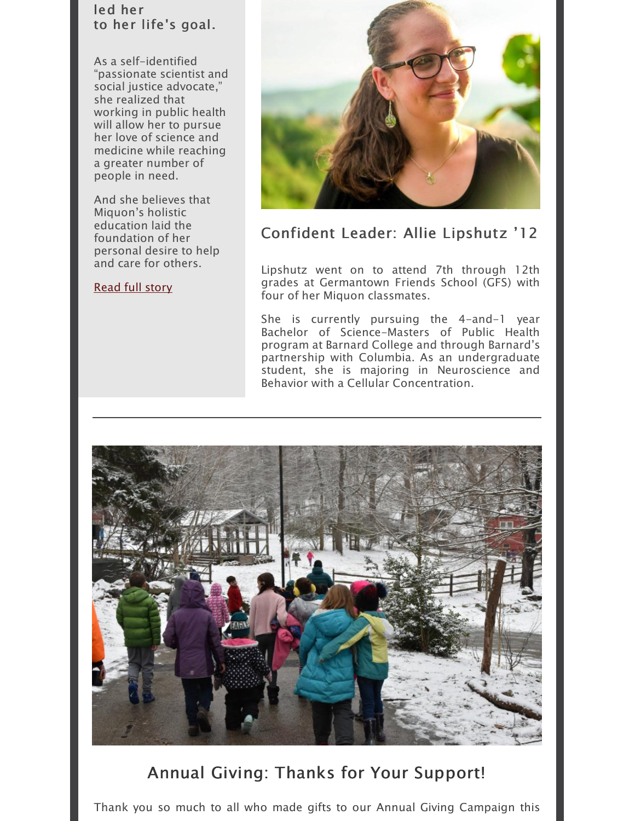#### led her to her life's goal.

As a self-identified "passionate scientist and social justice advocate," she realized that working in public health will allow her to pursue her love of science and medicine while reaching a greater number of people in need.

And she believes that Miquon's holistic education laid the foundation of her personal desire to help and care for others.

#### [Read](https://miquon.org/confident-leader-and-lifelong-learner-allie-lipshutz-12/) full story



## Confident Leader: Allie Lipshutz '12

Lipshutz went on to attend 7th through 12th grades at Germantown Friends School (GFS) with four of her Miquon classmates.

She is currently pursuing the 4-and-1 year Bachelor of Science-Masters of Public Health program at Barnard College and through Barnard's partnership with Columbia. As an undergraduate student, she is majoring in Neuroscience and Behavior with a Cellular Concentration.



## Annual Giving: Thanks for Your Support!

Thank you so much to all who made gifts to our Annual Giving Campaign this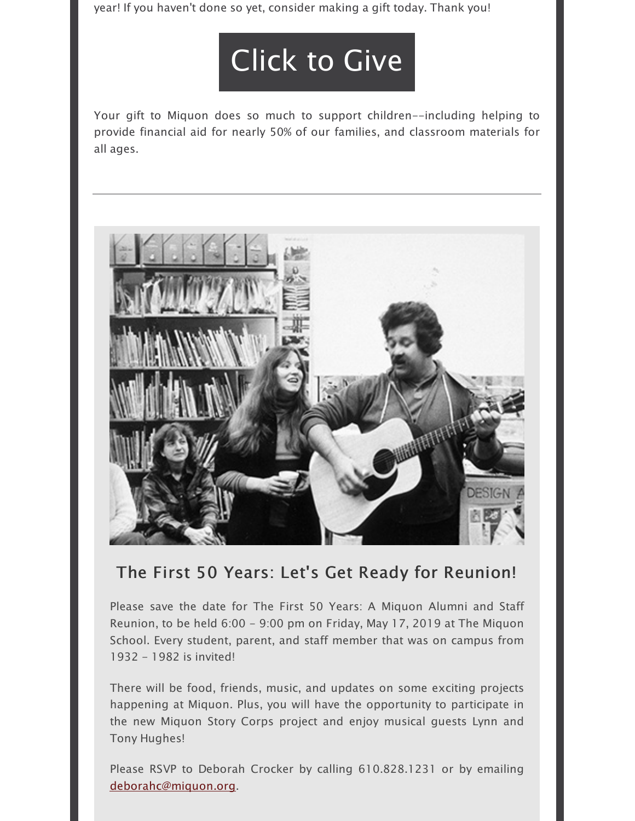year! If you haven't done so yet, consider making a gift today. Thank you!

# [Click](https://interland3.donorperfect.net/weblink/weblink.aspx?name=E13435&id=1) to Give

Your gift to Miquon does so much to support children--including helping to provide financial aid for nearly 50% of our families, and classroom materials for all ages.



## The First 50 Years: Let's Get Ready for Reunion!

Please save the date for The First 50 Years: A Miquon Alumni and Staff Reunion, to be held 6:00 - 9:00 pm on Friday, May 17, 2019 at The Miquon School. Every student, parent, and staff member that was on campus from 1932 - 1982 is invited!

There will be food, friends, music, and updates on some exciting projects happening at Miquon. Plus, you will have the opportunity to participate in the new Miquon Story Corps project and enjoy musical guests Lynn and Tony Hughes!

Please RSVP to Deborah Crocker by calling 610.828.1231 or by emailing [deborahc@miquon.org](mailto:deborahc@miquon.org).